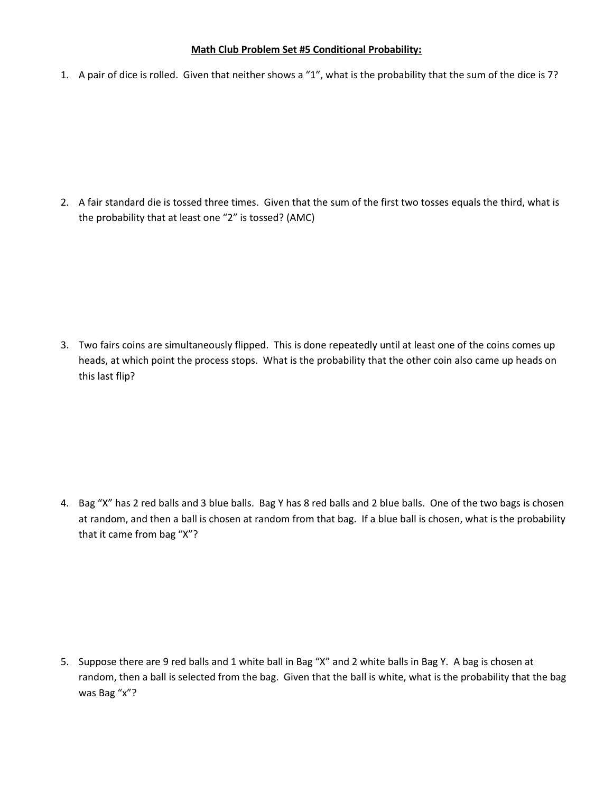## **Math Club Problem Set #5 Conditional Probability:**

1. A pair of dice is rolled. Given that neither shows a "1", what is the probability that the sum of the dice is 7?

2. A fair standard die is tossed three times. Given that the sum of the first two tosses equals the third, what is the probability that at least one "2" is tossed? (AMC)

3. Two fairs coins are simultaneously flipped. This is done repeatedly until at least one of the coins comes up heads, at which point the process stops. What is the probability that the other coin also came up heads on this last flip?

4. Bag "X" has 2 red balls and 3 blue balls. Bag Y has 8 red balls and 2 blue balls. One of the two bags is chosen at random, and then a ball is chosen at random from that bag. If a blue ball is chosen, what is the probability that it came from bag "X"?

5. Suppose there are 9 red balls and 1 white ball in Bag "X" and 2 white balls in Bag Y. A bag is chosen at random, then a ball is selected from the bag. Given that the ball is white, what is the probability that the bag was Bag "x"?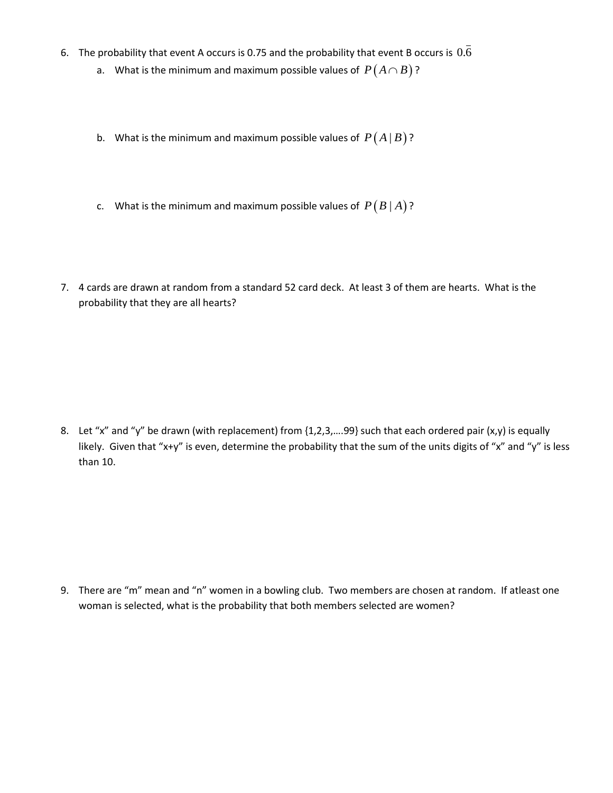- 6. The probability that event A occurs is 0.75 and the probability that event B occurs is  $0.6$ 
	- a. What is the minimum and maximum possible values of  $\,P\bigl(A\cap B\bigr)\,?$
	- b. What is the minimum and maximum possible values of  $P(A | B)$ ?
	- c. What is the minimum and maximum possible values of  $P(B|A)$ ?
- 7. 4 cards are drawn at random from a standard 52 card deck. At least 3 of them are hearts. What is the probability that they are all hearts?

8. Let "x" and "y" be drawn (with replacement) from {1,2,3,....99} such that each ordered pair (x,y) is equally likely. Given that "x+y" is even, determine the probability that the sum of the units digits of "x" and "y" is less than 10.

9. There are "m" mean and "n" women in a bowling club. Two members are chosen at random. If atleast one woman is selected, what is the probability that both members selected are women?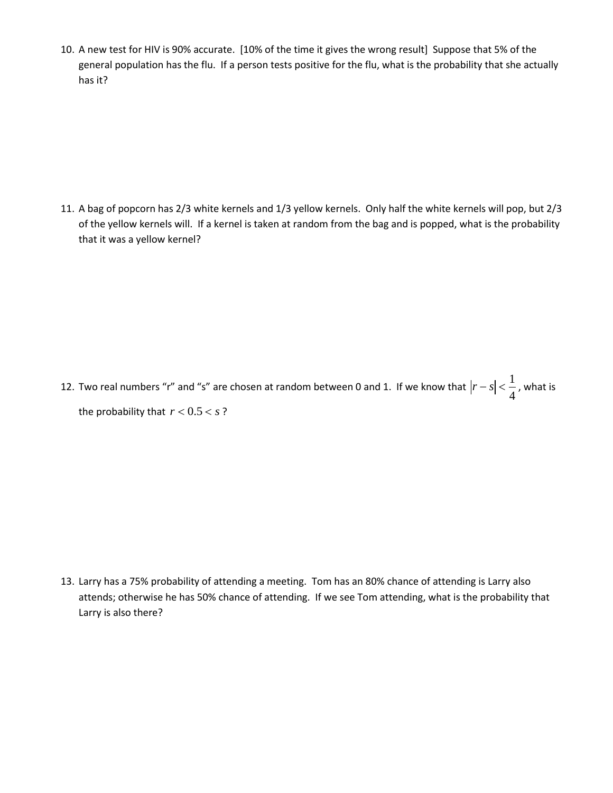10. A new test for HIV is 90% accurate. [10% of the time it gives the wrong result] Suppose that 5% of the general population has the flu. If a person tests positive for the flu, what is the probability that she actually has it?

11. A bag of popcorn has 2/3 white kernels and 1/3 yellow kernels. Only half the white kernels will pop, but 2/3 of the yellow kernels will. If a kernel is taken at random from the bag and is popped, what is the probability that it was a yellow kernel?

12. Two real numbers "r" and "s" are chosen at random between 0 and 1. If we know that 1 4  $|r - s| < \frac{1}{\epsilon}$ , what is the probability that  $r < 0.5 < s$ ?

13. Larry has a 75% probability of attending a meeting. Tom has an 80% chance of attending is Larry also attends; otherwise he has 50% chance of attending. If we see Tom attending, what is the probability that Larry is also there?